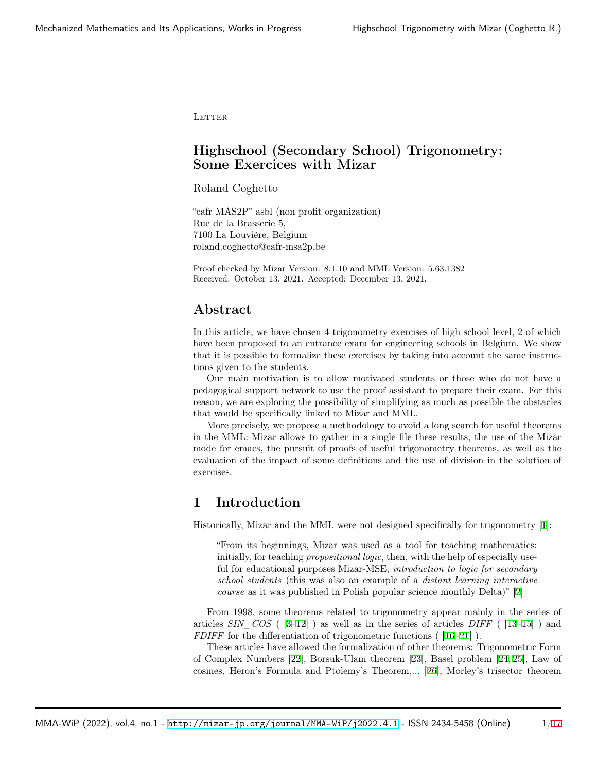LETTER

# Highschool (Secondary School) Trigonometry: Some Exercices with Mizar

Roland Coghetto

"cafr MAS2P" asbl (non profit organization) Rue de la Brasserie 5, 7100 La Louvière, Belgium roland.coghetto@cafr-msa2p.be

Proof checked by Mizar Version: 8.1.10 and MML Version: 5.63.1382 Received: October 13, 2021. Accepted: December 13, 2021.

# Abstract

In this article, we have chosen 4 trigonometry exercises of high school level, 2 of which have been proposed to an entrance exam for engineering schools in Belgium. We show that it is possible to formalize these exercises by taking into account the same instructions given to the students.

Our main motivation is to allow motivated students or those who do not have a pedagogical support network to use the proof assistant to prepare their exam. For this reason, we are exploring the possibility of simplifying as much as possible the obstacles that would be specifically linked to Mizar and MML.

More precisely, we propose a methodology to avoid a long search for useful theorems in the MML: Mizar allows to gather in a single file these results, the use of the Mizar mode for emacs, the pursuit of proofs of useful trigonometry theorems, as well as the evaluation of the impact of some definitions and the use of division in the solution of exercises.

# 1 Introduction

Historically, Mizar and the MML were not designed specifically for trigonometry [[1\]](#page-9-0):

"From its beginnings, Mizar was used as a tool for teaching mathematics: initially, for teaching *propositional logic*, then, with the help of especially useful for educational purposes Mizar-MSE, *introduction to logic for secondary school students* (this was also an example of a *distant learning interactive course* as it was published in Polish popular science monthly Delta)" [[2](#page-9-1)]

From 1998, some theorems related to trigonometry appear mainly in the series of articles *SIN\_COS* ( [[3–](#page-9-2)[12\]](#page-10-0) ) as well as in the series of articles *DIFF* ( [\[13](#page-10-1)[–15](#page-10-2)] ) and *FDIFF* for the differentiation of trigonometric functions ([\[16](#page-10-3)[–21](#page-10-4)]).

These articles have allowed the formalization of other theorems: Trigonometric Form of Complex Numbers [[22\]](#page-11-0), Borsuk-Ulam theorem [\[23](#page-11-1)], Basel problem [[24](#page-11-2), [25\]](#page-11-3), Law of cosines, Heron's Formula and Ptolemy's Theorem,... [[26](#page-11-4)], Morley's trisector theorem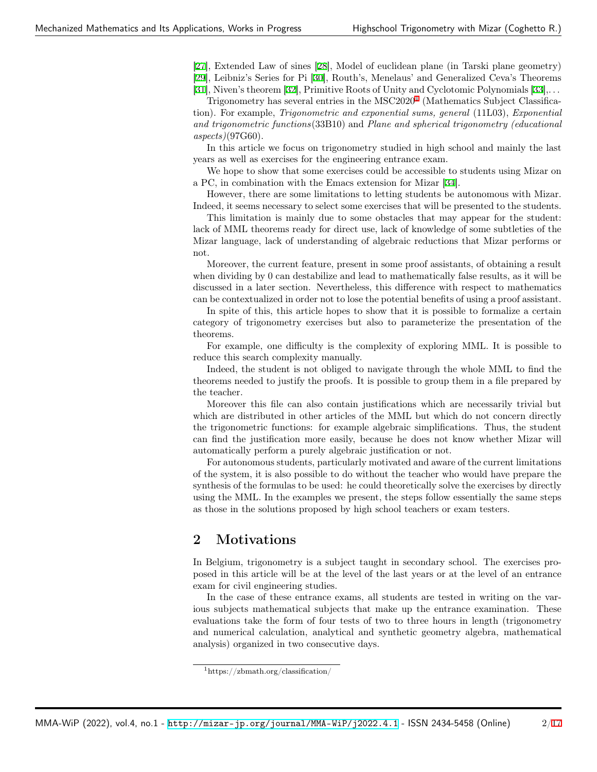[[27\]](#page-11-5), Extended Law of sines [[28\]](#page-11-6), Model of euclidean plane (in Tarski plane geometry)

[[29\]](#page-11-7), Leibniz's Series for Pi [\[30](#page-11-8)], Routh's, Menelaus' and Generalized Ceva's Theorems

[[31\]](#page-11-9), Niven's theorem [[32\]](#page-11-10), Primitive Roots of Unity and Cyclotomic Polynomials [[33](#page-11-11)],. . .

Trigonometry has several entries in the MSC2020<sup>[1](#page-1-0)</sup> (Mathematics Subject Classification). For example, *Trigonometric and exponential sums, general* (11L03), *Exponential and trigonometric functions*(33B10) and *Plane and spherical trigonometry (educational aspects)*(97G60).

In this article we focus on trigonometry studied in high school and mainly the last years as well as exercises for the engineering entrance exam.

We hope to show that some exercises could be accessible to students using Mizar on a PC, in combination with the Emacs extension for Mizar [[34\]](#page-11-12).

However, there are some limitations to letting students be autonomous with Mizar. Indeed, it seems necessary to select some exercises that will be presented to the students.

This limitation is mainly due to some obstacles that may appear for the student: lack of MML theorems ready for direct use, lack of knowledge of some subtleties of the Mizar language, lack of understanding of algebraic reductions that Mizar performs or not.

Moreover, the current feature, present in some proof assistants, of obtaining a result when dividing by 0 can destabilize and lead to mathematically false results, as it will be discussed in a later section. Nevertheless, this difference with respect to mathematics can be contextualized in order not to lose the potential benefits of using a proof assistant.

In spite of this, this article hopes to show that it is possible to formalize a certain category of trigonometry exercises but also to parameterize the presentation of the theorems.

For example, one difficulty is the complexity of exploring MML. It is possible to reduce this search complexity manually.

Indeed, the student is not obliged to navigate through the whole MML to find the theorems needed to justify the proofs. It is possible to group them in a file prepared by the teacher.

Moreover this file can also contain justifications which are necessarily trivial but which are distributed in other articles of the MML but which do not concern directly the trigonometric functions: for example algebraic simplifications. Thus, the student can find the justification more easily, because he does not know whether Mizar will automatically perform a purely algebraic justification or not.

For autonomous students, particularly motivated and aware of the current limitations of the system, it is also possible to do without the teacher who would have prepare the synthesis of the formulas to be used: he could theoretically solve the exercises by directly using the MML. In the examples we present, the steps follow essentially the same steps as those in the solutions proposed by high school teachers or exam testers.

# 2 Motivations

In Belgium, trigonometry is a subject taught in secondary school. The exercises proposed in this article will be at the level of the last years or at the level of an entrance exam for civil engineering studies.

In the case of these entrance exams, all students are tested in writing on the various subjects mathematical subjects that make up the entrance examination. These evaluations take the form of four tests of two to three hours in length (trigonometry and numerical calculation, analytical and synthetic geometry algebra, mathematical analysis) organized in two consecutive days.

<span id="page-1-0"></span><sup>1</sup>https://zbmath.org/classification/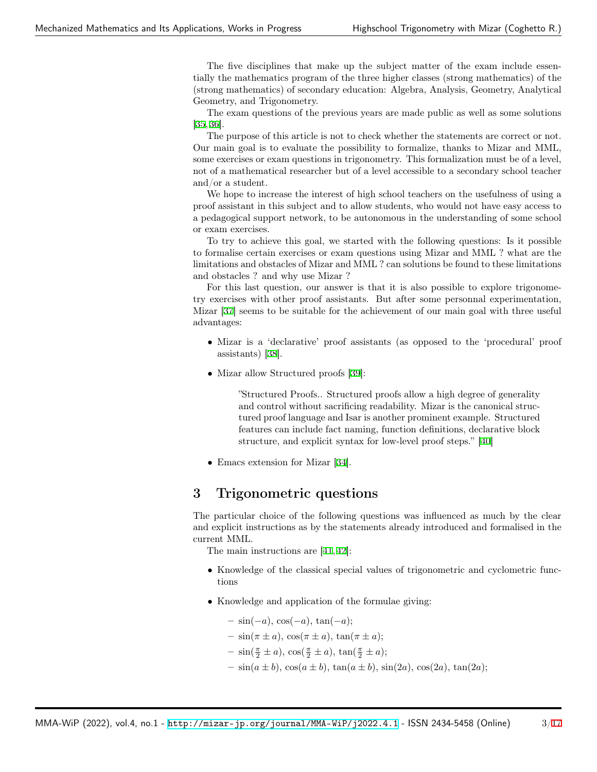The five disciplines that make up the subject matter of the exam include essentially the mathematics program of the three higher classes (strong mathematics) of the (strong mathematics) of secondary education: Algebra, Analysis, Geometry, Analytical Geometry, and Trigonometry.

The exam questions of the previous years are made public as well as some solutions  $[35, 36]$  $[35, 36]$  $[35, 36]$  $[35, 36]$ .

The purpose of this article is not to check whether the statements are correct or not. Our main goal is to evaluate the possibility to formalize, thanks to Mizar and MML, some exercises or exam questions in trigonometry. This formalization must be of a level, not of a mathematical researcher but of a level accessible to a secondary school teacher and/or a student.

We hope to increase the interest of high school teachers on the usefulness of using a proof assistant in this subject and to allow students, who would not have easy access to a pedagogical support network, to be autonomous in the understanding of some school or exam exercises.

To try to achieve this goal, we started with the following questions: Is it possible to formalise certain exercises or exam questions using Mizar and MML ? what are the limitations and obstacles of Mizar and MML ? can solutions be found to these limitations and obstacles ? and why use Mizar ?

For this last question, our answer is that it is also possible to explore trigonometry exercises with other proof assistants. But after some personnal experimentation, Mizar [\[37](#page-11-15)] seems to be suitable for the achievement of our main goal with three useful advantages:

- Mizar is a 'declarative' proof assistants (as opposed to the 'procedural' proof assistants) [\[38](#page-11-16)].
- Mizar allow Structured proofs [[39\]](#page-11-17):

"Structured Proofs.. Structured proofs allow a high degree of generality and control without sacrificing readability. Mizar is the canonical structured proof language and Isar is another prominent example. Structured features can include fact naming, function definitions, declarative block structure, and explicit syntax for low-level proof steps." [\[40](#page-11-18)]

• Emacs extension for Mizar [\[34](#page-11-12)].

## 3 Trigonometric questions

The particular choice of the following questions was influenced as much by the clear and explicit instructions as by the statements already introduced and formalised in the current MML.

The main instructions are [\[41](#page-12-0), [42](#page-12-1)]:

- Knowledge of the classical special values of trigonometric and cyclometric functions
- Knowledge and application of the formulae giving:
	- sin(*−a*), cos(*−a*), tan(*−a*);
	- $-\sin(\pi \pm a), \cos(\pi \pm a), \tan(\pi \pm a);$
	- $-\sin(\frac{\pi}{2} \pm a), \cos(\frac{\pi}{2} \pm a), \tan(\frac{\pi}{2} \pm a);$
	- $-\sin(a \pm b), \cos(a \pm b), \tan(a \pm b), \sin(2a), \cos(2a), \tan(2a);$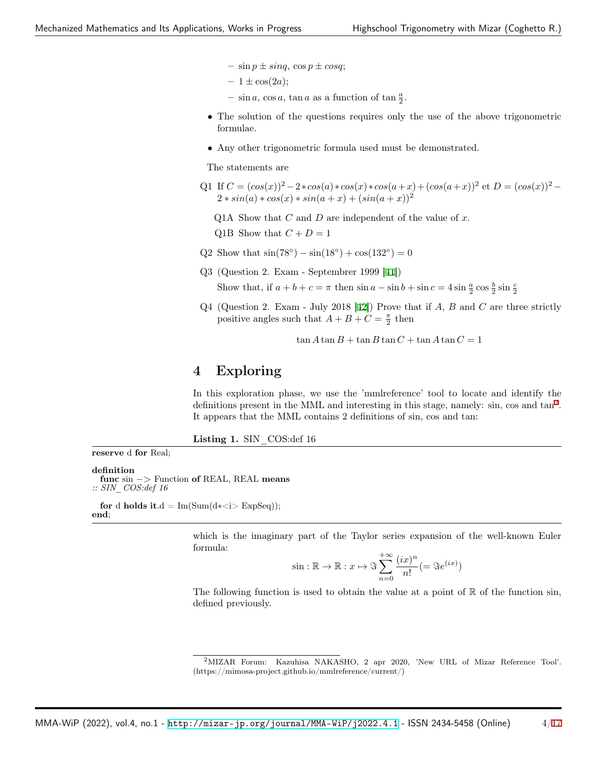- $-\sin p \pm \sin q$ ,  $\cos p \pm \cos q$ ;
- $-1 \pm \cos(2a);$
- $-\sin a$ ,  $\cos a$ ,  $\tan a$  as a function of  $\tan \frac{a}{2}$ .
- The solution of the questions requires only the use of the above trigonometric formulae.
- Any other trigonometric formula used must be demonstrated.

The statements are

- Q1 If  $C = (cos(x))^2 2 * cos(a) * cos(x) * cos(a+x) + (cos(a+x))^2$  et  $D = (cos(x))^2 2 * sin(a) * cos(x) * sin(a + x) + (sin(a + x))^2$ 
	- Q1A Show that *C* and *D* are independent of the value of *x*.
	- Q1B Show that  $C + D = 1$
- Q2 Show that  $\sin(78^\circ) \sin(18^\circ) + \cos(132^\circ) = 0$
- Q3 (Question 2. Exam Septembrer 1999 [\[41](#page-12-0)])

Show that, if  $a + b + c = \pi$  then  $\sin a - \sin b + \sin c = 4 \sin \frac{a}{2} \cos \frac{b}{2} \sin \frac{c}{2}$ 

Q4 (Question 2. Exam - July 2018 [\[42](#page-12-1)]) Prove that if *A*, *B* and *C* are three strictly positive angles such that  $A + B + C = \frac{\pi}{2}$  then

 $\tan A \tan B + \tan B \tan C + \tan A \tan C = 1$ 

## 4 Exploring

In this exploration phase, we use the 'mmlreference' tool to locate and identify the definitions present in the MML and interesting in this stage, namely: sin, cos and  $tan<sup>2</sup>$  $tan<sup>2</sup>$  $tan<sup>2</sup>$ . It appears that the MML contains 2 definitions of sin, cos and tan:

<span id="page-3-1"></span>Listing 1. SIN COS:def 16

definition func sin *−*> Function of REAL, REAL means *:: SIN\_COS:def 16*

reserve d for Real;

for d holds it.d =  $Im(Sum(d**i*)$  ExpSeq)); end;

> which is the imaginary part of the Taylor series expansion of the well-known Euler formula:

$$
\sin : \mathbb{R} \to \mathbb{R} : x \mapsto \Im \sum_{n=0}^{+\infty} \frac{(ix)^n}{n!} (= \Im e^{(ix)})
$$

The following function is used to obtain the value at a point of  $\mathbb R$  of the function sin, defined previously.

<span id="page-3-0"></span><sup>2</sup>MIZAR Forum: Kazuhisa NAKASHO, 2 apr 2020, 'New URL of Mizar Reference Tool'. (https://mimosa-project.github.io/mmlreference/current/)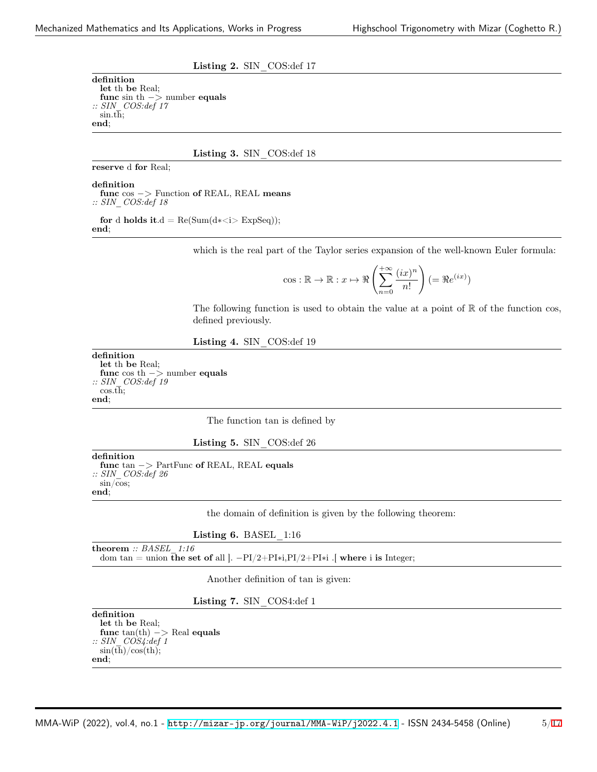<span id="page-4-3"></span>Listing 2. SIN\_COS:def 17

definition let th be Real; func sin th *−*> number equals *:: SIN\_COS:def 17* sin.th; end;

<span id="page-4-5"></span>Listing 3. SIN COS:def 18

reserve d for Real;

definition

func cos *−*> Function of REAL, REAL means *:: SIN\_COS:def 18*

for d holds it.d =  $Re(Sum(d * *i* > ExpSeq));$ end;

which is the real part of the Taylor series expansion of the well-known Euler formula:

$$
\cos: \mathbb{R} \to \mathbb{R}: x \mapsto \Re \left( \sum_{n=0}^{+\infty} \frac{(ix)^n}{n!} \right) (= \Re e^{(ix)})
$$

The following function is used to obtain the value at a point of  $\mathbb R$  of the function cos, defined previously.

<span id="page-4-4"></span>Listing 4. SIN\_COS:def 19

definition let th be Real; func cos th *−*> number equals *:: SIN\_COS:def 19*  $\cos \overline{th}$ ; end;

The function tan is defined by

<span id="page-4-0"></span>Listing 5. SIN\_COS:def 26

definition

func tan *−*> PartFunc of REAL, REAL equals *:: SIN\_COS:def 26* sin/cos; end;

the domain of definition is given by the following theorem:

<span id="page-4-1"></span>

| Listing 6. BASEL |  | 1:16 |
|------------------|--|------|
|------------------|--|------|

theorem *:: BASEL\_1:16* dom tan = union the set of all ]. *−*PI/2+PI∗i,PI/2+PI∗i .[ where i is Integer;

Another definition of tan is given:

<span id="page-4-2"></span>Listing 7. SIN COS4:def 1

definition let th be Real; func tan(th) *−*> Real equals *:: SIN\_COS4:def 1*  $\sin(\overline{\th})/\cos(\th);$ end;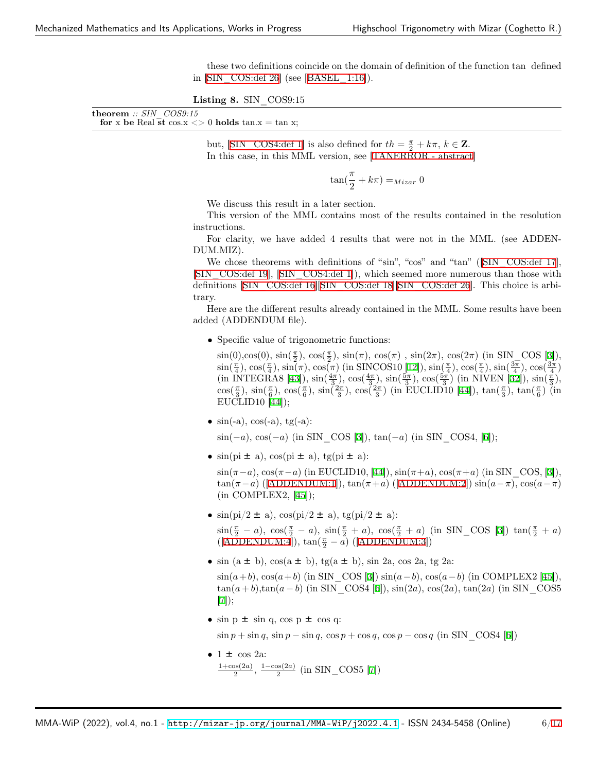these two definitions coincide on the domain of definition of the function tan defined in  $\text{SIN}$  COS:def 26] (see  $\text{[BASEL}$  1:16]).

Listing 8. SIN COS9:15

| ${\bf theorem} :: SIN \>\>COS9:15$ |                                                                 |  |
|------------------------------------|-----------------------------------------------------------------|--|
|                                    | for x be Real st cos.x $\langle 0 \rangle$ holds tan.x = tan x; |  |

but,  $[\text{SIN\_COS4:def 1}]$  is also defined for  $th = \frac{\pi}{2} + k\pi$ ,  $k \in \mathbb{Z}$ . In this case, in this MML version, see [\[TANERROR - abstract](#page-12-2)]

$$
\tan(\frac{\pi}{2} + k\pi) =_{Mizar} 0
$$

We discuss this result in a later section.

This version of the MML contains most of the results contained in the resolution instructions.

For clarity, we have added 4 results that were not in the MML. (see ADDEN-DUM.MIZ).

We chose theorems with definitions of "sin", "cos" and "tan" (SIN\_COS:def 17], [[SIN\\_COS:def 19\]](#page-4-4), [[SIN\\_COS4:def 1\]](#page-4-2)), which seemed more numerous than those with definitions [\[SIN\\_COS:def 16](#page-3-1)][[SIN\\_COS:def 18\]](#page-4-5)[\[SIN\\_COS:def 26](#page-4-0)]. This choice is arbitrary.

Here are the different results already contained in the MML. Some results have been added (ADDENDUM file).

• Specific value of trigonometric functions:

 $\sin(0), \cos(0), \sin(\frac{\pi}{2}), \cos(\frac{\pi}{2}), \sin(\pi), \cos(\pi), \sin(2\pi), \cos(2\pi)$  (in SIN\_COS [[3\]](#page-9-2)),  $\sin(\frac{\pi}{4}), \cos(\frac{\pi}{4}), \sin(\pi), \cos(\pi)$  (in SINCOS10 [[12](#page-10-0)]),  $\sin(\frac{\pi}{4}), \cos(\frac{\pi}{4}), \sin(\frac{3\pi}{4}), \cos(\frac{3\pi}{4})$  $(\text{in INTEGRA8 [43]}), \sin(\frac{4\pi}{3}), \cos(\frac{4\pi}{3}), \sin(\frac{5\pi}{3}), \cos(\frac{5\pi}{3}) (\text{in NIVEN [32]}), \sin(\frac{\pi}{3}),$  $(\text{in INTEGRA8 [43]}), \sin(\frac{4\pi}{3}), \cos(\frac{4\pi}{3}), \sin(\frac{5\pi}{3}), \cos(\frac{5\pi}{3}) (\text{in NIVEN [32]}), \sin(\frac{\pi}{3}),$  $(\text{in INTEGRA8 [43]}), \sin(\frac{4\pi}{3}), \cos(\frac{4\pi}{3}), \sin(\frac{5\pi}{3}), \cos(\frac{5\pi}{3}) (\text{in NIVEN [32]}), \sin(\frac{\pi}{3}),$  $(\text{in INTEGRA8 [43]}), \sin(\frac{4\pi}{3}), \cos(\frac{4\pi}{3}), \sin(\frac{5\pi}{3}), \cos(\frac{5\pi}{3}) (\text{in NIVEN [32]}), \sin(\frac{\pi}{3}),$  $(\text{in INTEGRA8 [43]}), \sin(\frac{4\pi}{3}), \cos(\frac{4\pi}{3}), \sin(\frac{5\pi}{3}), \cos(\frac{5\pi}{3}) (\text{in NIVEN [32]}), \sin(\frac{\pi}{3}),$  $\cos(\frac{\pi}{3}), \sin(\frac{\pi}{6}), \cos(\frac{\pi}{6}), \sin(\frac{2\pi}{3}), \cos(\frac{2\pi}{3})$  (in EUCLID10 [[44\]](#page-12-4)),  $\tan(\frac{\pi}{3})$ ,  $\tan(\frac{\pi}{6})$  (in EUCLID10 [[44\]](#page-12-4));

•  $\sin(-a)$ ,  $\cos(-a)$ ,  $\tg(-a)$ :

sin(*−a*), cos(*−a*) (in SIN\_COS [[3\]](#page-9-2)), tan(*−a*) (in SIN\_COS4, [\[6](#page-10-5)]);

•  $sin(p i \pm a)$ ,  $cos(p i \pm a)$ ,  $tg(p i \pm a)$ :

 $\sin(\pi - a)$ ,  $\cos(\pi - a)$  (in EUCLID10, [\[44](#page-12-4)]),  $\sin(\pi + a)$ ,  $\cos(\pi + a)$  (in SIN COS, [[3\]](#page-9-2)),  $\tan(\pi - a)$  ([\[ADDENDUM:1](#page-6-0)]),  $\tan(\pi + a)$  ([\[ADDENDUM:2\]](#page-6-1))  $\sin(a - \pi)$ ,  $\cos(a - \pi)$  $(in COMPLEX2, |45|);$ 

- $\sin(\pi/2 \pm a), \cos(\pi/2 \pm a), \text{tg}(\pi/2 \pm a)$ :  $\sin(\frac{\pi}{2} - a)$ ,  $\cos(\frac{\pi}{2} - a)$ ,  $\sin(\frac{\pi}{2} + a)$ ,  $\cos(\frac{\pi}{2} + a)$  (in SIN\_COS [[3\]](#page-9-2))  $\tan(\frac{\pi}{2} + a)$ ([[ADDENDUM:4](#page-6-2)]), tan( *<sup>π</sup>* <sup>2</sup> *− a*) ([[ADDENDUM:3\]](#page-6-3))
- $\sin (a \pm b)$ ,  $\cos(a \pm b)$ ,  $\text{tg}(a \pm b)$ ,  $\sin 2a$ ,  $\cos 2a$ ,  $\text{tg}(2a)$ :  $\sin(a+b)$ ,  $\cos(a+b)$  (in SIN COS [[3\]](#page-9-2))  $\sin(a-b)$ ,  $\cos(a-b)$  (in COMPLEX2 [[45\]](#page-12-5)),  $tan(a+b), tan(a-b)$  (in SIN COS4 [[6\]](#page-10-5)),  $sin(2a), cos(2a), tan(2a)$  (in SIN COS5 [[7\]](#page-10-6));
- $\sin p \pm \sin q$ ,  $\cos p \pm \cos q$ :  $\sin p + \sin q$ ,  $\sin p - \sin q$ ,  $\cos p + \cos q$ ,  $\cos p - \cos q$  (in SIN COS4 [\[6](#page-10-5)])
- $\bullet$  1  $\pm$  cos 2a: 1+cos(2*a*) <sup>2</sup>/<sub>2</sub><sup>os(2*a*)</sup>, <sup>1−cos(2*a*)</sup> (in SIN\_COS5 [\[7](#page-10-6)])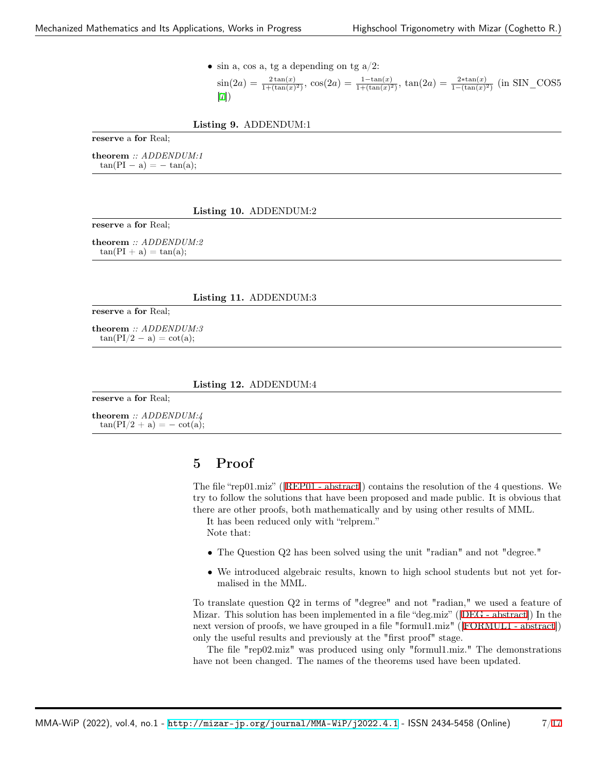• sin a, cos a, tg a depending on tg  $a/2$ :

 $\sin(2a) = \frac{2\tan(x)}{1+(\tan(x)^2)}$ ,  $\cos(2a) = \frac{1-\tan(x)}{1+(\tan(x)^2)}$ ,  $\tan(2a) = \frac{2*\tan(x)}{1-(\tan(x)^2)}$  (in SIN\_COS5 [[7\]](#page-10-6))

<span id="page-6-0"></span>Listing 9. ADDENDUM:1

reserve a for Real;

theorem *:: ADDENDUM:1* tan(PI *−* a) = *−* tan(a);

#### <span id="page-6-1"></span>Listing 10. ADDENDUM:2

reserve a for Real;

theorem *:: ADDENDUM:2*  $tan(PI + a) = tan(a);$ 

#### <span id="page-6-3"></span>Listing 11. ADDENDUM:3

reserve a for Real;

theorem *:: ADDENDUM:3*  $tan(PI/2 - a) = cot(a);$ 

#### <span id="page-6-2"></span>Listing 12. ADDENDUM:4

reserve a for Real;

theorem *:: ADDENDUM:4*  $tan(PI/2 + a) = - cot(a);$ 

# 5 Proof

The file "rep01.miz" ([[REP01 - abstract](#page-13-0)]) contains the resolution of the 4 questions. We try to follow the solutions that have been proposed and made public. It is obvious that there are other proofs, both mathematically and by using other results of MML.

It has been reduced only with "relprem."

Note that:

- The Question Q2 has been solved using the unit "radian" and not "degree."
- We introduced algebraic results, known to high school students but not yet formalised in the MML.

To translate question Q2 in terms of "degree" and not "radian," we used a feature of Mizar. This solution has been implemented in a file "deg.miz" ([[DEG - abstract\]](#page-14-0)) In the next version of proofs, we have grouped in a file "formul1.miz" ([[FORMUL1 - abstract](#page-14-1)]) only the useful results and previously at the "first proof" stage.

The file "rep02.miz" was produced using only "formul1.miz." The demonstrations have not been changed. The names of the theorems used have been updated.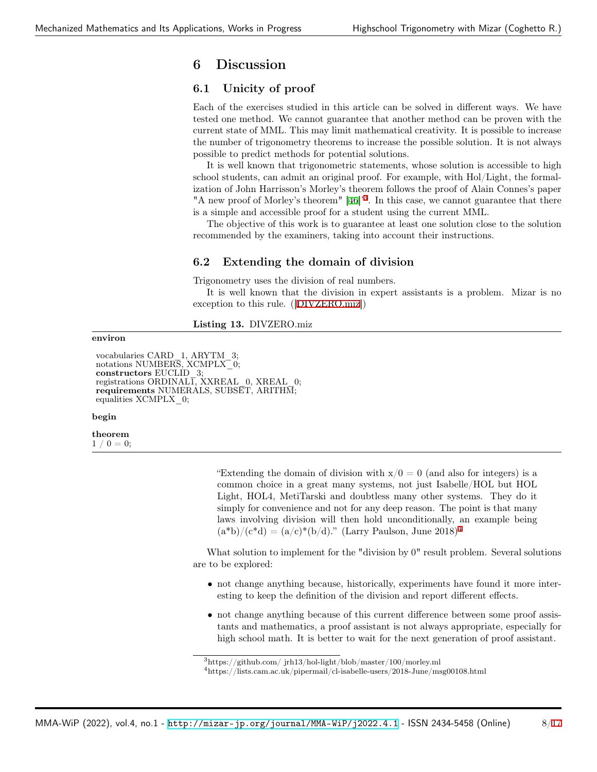# 6 Discussion

### 6.1 Unicity of proof

Each of the exercises studied in this article can be solved in different ways. We have tested one method. We cannot guarantee that another method can be proven with the current state of MML. This may limit mathematical creativity. It is possible to increase the number of trigonometry theorems to increase the possible solution. It is not always possible to predict methods for potential solutions.

It is well known that trigonometric statements, whose solution is accessible to high school students, can admit an original proof. For example, with Hol/Light, the formalization of John Harrisson's Morley's theorem follows the proof of Alain Connes's paper "A new proof of Morley's theorem" [[46\]](#page-12-6)<sup>[3](#page-7-0)</sup>. In this case, we cannot guarantee that there is a simple and accessible proof for a student using the current MML.

The objective of this work is to guarantee at least one solution close to the solution recommended by the examiners, taking into account their instructions.

## 6.2 Extending the domain of division

Trigonometry uses the division of real numbers.

It is well known that the division in expert assistants is a problem. Mizar is no exception to this rule. ([[DIVZERO.miz](#page-7-1)])

<span id="page-7-1"></span>Listing 13. DIVZERO.miz

### environ

vocabularies CARD\_1, ARYTM\_3; notations NUMBERS, XCMPLX<sup>-</sup>0; constructors EUCLID\_3; registrations ORDINAL $\overline{1}$ , XXREAL  $\overline{0}$ , XREAL  $\overline{0}$ ; requirements NUMERALS, SUBSET, ARITHM; equalities XCMPLX\_0;

#### begin

theorem  $1 / 0 = 0;$ 

> "Extending the domain of division with  $x/0 = 0$  (and also for integers) is a common choice in a great many systems, not just Isabelle/HOL but HOL Light, HOL4, MetiTarski and doubtless many other systems. They do it simply for convenience and not for any deep reason. The point is that many laws involving division will then hold unconditionally, an example being  $(a * b)/(c * d) = (a/c)*(b/d)$ ." (Larry Paulson, June 2018)<sup>[4](#page-7-2)</sup>

What solution to implement for the "division by 0" result problem. Several solutions are to be explored:

- not change anything because, historically, experiments have found it more interesting to keep the definition of the division and report different effects.
- not change anything because of this current difference between some proof assistants and mathematics, a proof assistant is not always appropriate, especially for high school math. It is better to wait for the next generation of proof assistant.

<span id="page-7-0"></span> $3$ https://github.com/ jrh13/hol-light/blob/master/100/morley.ml

<span id="page-7-2"></span><sup>4</sup>https://lists.cam.ac.uk/pipermail/cl-isabelle-users/2018-June/msg00108.html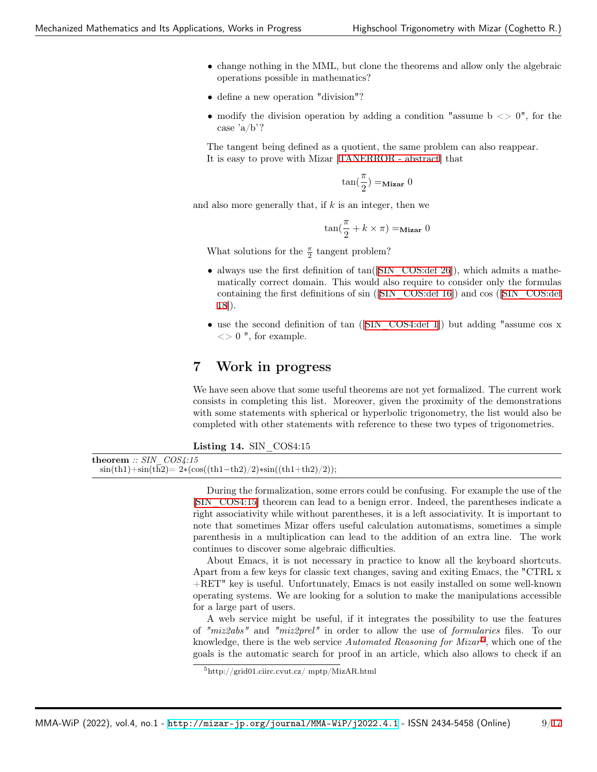- change nothing in the MML, but clone the theorems and allow only the algebraic operations possible in mathematics?
- define a new operation "division"?
- modify the division operation by adding a condition "assume  $b \leq 0$ ", for the case 'a/b'?

The tangent being defined as a quotient, the same problem can also reappear. It is easy to prove with Mizar [[TANERROR - abstract\]](#page-12-2) that

$$
\tan(\frac{\pi}{2}) =_{\text{Mizar}} 0
$$

and also more generally that, if *k* is an integer, then we

$$
\tan(\frac{\pi}{2} + k \times \pi) =_{\text{Mizar}} 0
$$

What solutions for the  $\frac{\pi}{2}$  tangent problem?

- always use the first definition of  $tan([SIN\_COS:def 26])$ , which admits a mathematically correct domain. This would also require to consider only the formulas containing the first definitions of sin ([[SIN\\_COS:def 16](#page-3-1)]) and cos ([\[SIN\\_COS:def](#page-4-5) [18\]](#page-4-5)).
- use the second definition of tan (SIN COS4:def 1) but adding "assume cos x  $\langle 0 \rangle$  ", for example.

## 7 Work in progress

We have seen above that some useful theorems are not yet formalized. The current work consists in completing this list. Moreover, given the proximity of the demonstrations with some statements with spherical or hyperbolic trigonometry, the list would also be completed with other statements with reference to these two types of trigonometries.

<span id="page-8-0"></span>

|  | Listing 14. SIN COS4:15 |
|--|-------------------------|
|  |                         |

```
theorem :: SIN_COS4:15
 sin(th1)+sin(th2)= 2∗(cos((th1−th2)/2)∗sin((th1+th2)/2));
```
During the formalization, some errors could be confusing. For example the use of the [[SIN\\_COS4:15](#page-8-0)] theorem can lead to a benign error. Indeed, the parentheses indicate a right associativity while without parentheses, it is a left associativity. It is important to note that sometimes Mizar offers useful calculation automatisms, sometimes a simple parenthesis in a multiplication can lead to the addition of an extra line. The work continues to discover some algebraic difficulties.

About Emacs, it is not necessary in practice to know all the keyboard shortcuts. Apart from a few keys for classic text changes, saving and exiting Emacs, the "CTRL x +RET" key is useful. Unfortunately, Emacs is not easily installed on some well-known operating systems. We are looking for a solution to make the manipulations accessible for a large part of users.

A web service might be useful, if it integrates the possibility to use the features of *"miz2abs"* and *"miz2prel"* in order to allow the use of *formularies* files. To our knowledge, there is the web service *Automated Reasoning for Mizar*<sup>[5](#page-8-1)</sup>, which one of the goals is the automatic search for proof in an article, which also allows to check if an

<span id="page-8-1"></span><sup>5</sup>http://grid01.ciirc.cvut.cz/ mptp/MizAR.html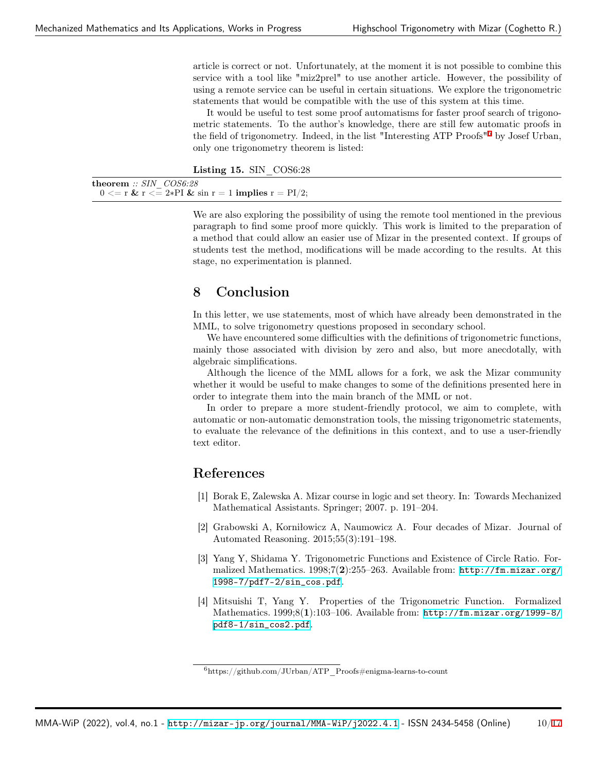article is correct or not. Unfortunately, at the moment it is not possible to combine this service with a tool like "miz2prel" to use another article. However, the possibility of using a remote service can be useful in certain situations. We explore the trigonometric statements that would be compatible with the use of this system at this time.

It would be useful to test some proof automatisms for faster proof search of trigonometric statements. To the author's knowledge, there are still few automatic proofs in the field of trigonometry. Indeed, in the list "Interesting ATP Proofs"[6](#page-9-3) by Josef Urban, only one trigonometry theorem is listed:

Listing 15. SIN COS6:28

theorem *:: SIN\_COS6:28*  $0 \leq r \& r \leq 2*PI \& \sin r = 1$  implies  $r = PI/2$ ;

> We are also exploring the possibility of using the remote tool mentioned in the previous paragraph to find some proof more quickly. This work is limited to the preparation of a method that could allow an easier use of Mizar in the presented context. If groups of students test the method, modifications will be made according to the results. At this stage, no experimentation is planned.

## 8 Conclusion

In this letter, we use statements, most of which have already been demonstrated in the MML, to solve trigonometry questions proposed in secondary school.

We have encountered some difficulties with the definitions of trigonometric functions, mainly those associated with division by zero and also, but more anecdotally, with algebraic simplifications.

Although the licence of the MML allows for a fork, we ask the Mizar community whether it would be useful to make changes to some of the definitions presented here in order to integrate them into the main branch of the MML or not.

In order to prepare a more student-friendly protocol, we aim to complete, with automatic or non-automatic demonstration tools, the missing trigonometric statements, to evaluate the relevance of the definitions in this context, and to use a user-friendly text editor.

# References

- <span id="page-9-0"></span>[1] Borak E, Zalewska A. Mizar course in logic and set theory. In: Towards Mechanized Mathematical Assistants. Springer; 2007. p. 191–204.
- <span id="page-9-1"></span>[2] Grabowski A, Korniłowicz A, Naumowicz A. Four decades of Mizar. Journal of Automated Reasoning. 2015;55(3):191–198.
- <span id="page-9-2"></span>[3] Yang Y, Shidama Y. Trigonometric Functions and Existence of Circle Ratio. Formalized Mathematics. 1998;7(2):255–263. Available from: [http://fm.mizar.org/](http://fm.mizar.org/1998-7/pdf7-2/sin_cos.pdf) [1998-7/pdf7-2/sin\\_cos.pdf](http://fm.mizar.org/1998-7/pdf7-2/sin_cos.pdf).
- [4] Mitsuishi T, Yang Y. Properties of the Trigonometric Function. Formalized Mathematics.  $1999:8(1):103-106$ . Available from: [http://fm.mizar.org/1999-8/](http://fm.mizar.org/1999-8/pdf8-1/sin_cos2.pdf) [pdf8-1/sin\\_cos2.pdf](http://fm.mizar.org/1999-8/pdf8-1/sin_cos2.pdf).

<span id="page-9-3"></span> $6$ https://github.com/JUrban/ATP\_Proofs#enigma-learns-to-count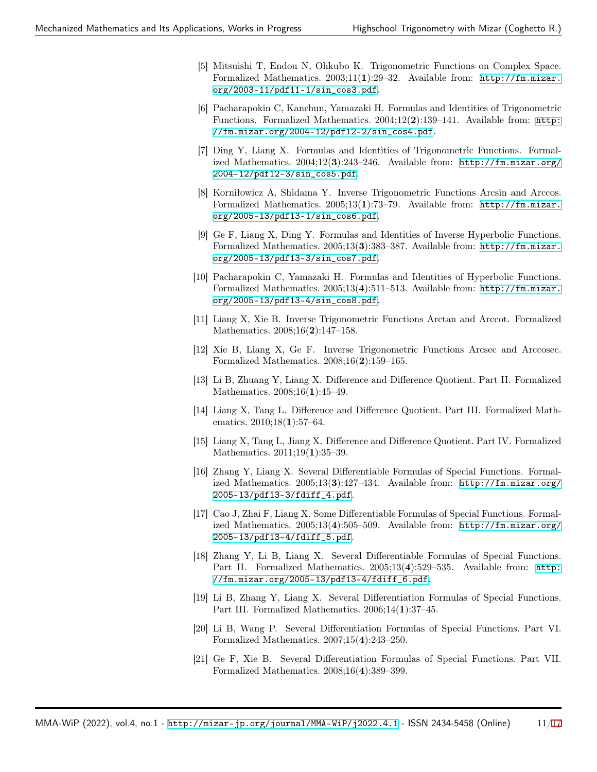- [5] Mitsuishi T, Endou N, Ohkubo K. Trigonometric Functions on Complex Space. Formalized Mathematics. 2003;11(1):29–32. Available from: [http://fm.mizar.](http://fm.mizar.org/2003-11/pdf11-1/sin_cos3.pdf) [org/2003-11/pdf11-1/sin\\_cos3.pdf](http://fm.mizar.org/2003-11/pdf11-1/sin_cos3.pdf).
- <span id="page-10-5"></span>[6] Pacharapokin C, Kanchun, Yamazaki H. Formulas and Identities of Trigonometric Functions. Formalized Mathematics.  $2004;12(2):139-141$ . Available from: [http:](http://fm.mizar.org/2004-12/pdf12-2/sin_cos4.pdf) [//fm.mizar.org/2004-12/pdf12-2/sin\\_cos4.pdf](http://fm.mizar.org/2004-12/pdf12-2/sin_cos4.pdf).
- <span id="page-10-6"></span>[7] Ding Y, Liang X. Formulas and Identities of Trigonometric Functions. Formalized Mathematics. 2004;12(3):243–246. Available from: [http://fm.mizar.org/](http://fm.mizar.org/2004-12/pdf12-3/sin_cos5.pdf) [2004-12/pdf12-3/sin\\_cos5.pdf](http://fm.mizar.org/2004-12/pdf12-3/sin_cos5.pdf).
- [8] Korniłowicz A, Shidama Y. Inverse Trigonometric Functions Arcsin and Arccos. Formalized Mathematics. 2005;13(1):73–79. Available from: [http://fm.mizar.](http://fm.mizar.org/2005-13/pdf13-1/sin_cos6.pdf) [org/2005-13/pdf13-1/sin\\_cos6.pdf](http://fm.mizar.org/2005-13/pdf13-1/sin_cos6.pdf).
- [9] Ge F, Liang X, Ding Y. Formulas and Identities of Inverse Hyperbolic Functions. Formalized Mathematics. 2005;13(3):383–387. Available from: [http://fm.mizar.](http://fm.mizar.org/2005-13/pdf13-3/sin_cos7.pdf) [org/2005-13/pdf13-3/sin\\_cos7.pdf](http://fm.mizar.org/2005-13/pdf13-3/sin_cos7.pdf).
- [10] Pacharapokin C, Yamazaki H. Formulas and Identities of Hyperbolic Functions. Formalized Mathematics. 2005;13(4):511–513. Available from: [http://fm.mizar.](http://fm.mizar.org/2005-13/pdf13-4/sin_cos8.pdf) [org/2005-13/pdf13-4/sin\\_cos8.pdf](http://fm.mizar.org/2005-13/pdf13-4/sin_cos8.pdf).
- [11] Liang X, Xie B. Inverse Trigonometric Functions Arctan and Arccot. Formalized Mathematics. 2008;16(2):147–158.
- <span id="page-10-0"></span>[12] Xie B, Liang X, Ge F. Inverse Trigonometric Functions Arcsec and Arccosec. Formalized Mathematics. 2008;16(2):159–165.
- <span id="page-10-1"></span>[13] Li B, Zhuang Y, Liang X. Difference and Difference Quotient. Part II. Formalized Mathematics. 2008;16(1):45-49.
- [14] Liang X, Tang L. Difference and Difference Quotient. Part III. Formalized Mathematics. 2010;18(1):57-64.
- <span id="page-10-2"></span>[15] Liang X, Tang L, Jiang X. Difference and Difference Quotient. Part IV. Formalized Mathematics. 2011;19(1):35–39.
- <span id="page-10-3"></span>[16] Zhang Y, Liang X. Several Differentiable Formulas of Special Functions. Formalized Mathematics. 2005;13(3):427–434. Available from: [http://fm.mizar.org/](http://fm.mizar.org/2005-13/pdf13-3/fdiff_4.pdf) [2005-13/pdf13-3/fdiff\\_4.pdf](http://fm.mizar.org/2005-13/pdf13-3/fdiff_4.pdf).
- [17] Cao J, Zhai F, Liang X. Some Differentiable Formulas of Special Functions. Formalized Mathematics. 2005;13(4):505–509. Available from: [http://fm.mizar.org/](http://fm.mizar.org/2005-13/pdf13-4/fdiff_5.pdf) [2005-13/pdf13-4/fdiff\\_5.pdf](http://fm.mizar.org/2005-13/pdf13-4/fdiff_5.pdf).
- [18] Zhang Y, Li B, Liang X. Several Differentiable Formulas of Special Functions. Part II. Formalized Mathematics. 2005;13(4):529–535. Available from: [http:](http://fm.mizar.org/2005-13/pdf13-4/fdiff_6.pdf) [//fm.mizar.org/2005-13/pdf13-4/fdiff\\_6.pdf](http://fm.mizar.org/2005-13/pdf13-4/fdiff_6.pdf).
- [19] Li B, Zhang Y, Liang X. Several Differentiation Formulas of Special Functions. Part III. Formalized Mathematics. 2006;14(1):37–45.
- [20] Li B, Wang P. Several Differentiation Formulas of Special Functions. Part VI. Formalized Mathematics. 2007;15(4):243–250.
- <span id="page-10-4"></span>[21] Ge F, Xie B. Several Differentiation Formulas of Special Functions. Part VII. Formalized Mathematics. 2008;16(4):389–399.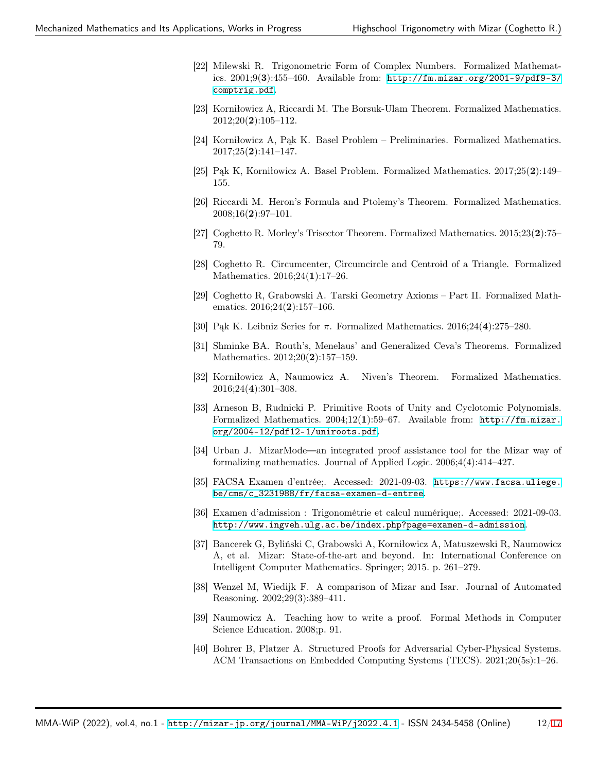- <span id="page-11-0"></span>[22] Milewski R. Trigonometric Form of Complex Numbers. Formalized Mathematics. 2001;9(3):455–460. Available from: [http://fm.mizar.org/2001-9/pdf9-3/](http://fm.mizar.org/2001-9/pdf9-3/comptrig.pdf) [comptrig.pdf](http://fm.mizar.org/2001-9/pdf9-3/comptrig.pdf).
- <span id="page-11-1"></span>[23] Korniłowicz A, Riccardi M. The Borsuk-Ulam Theorem. Formalized Mathematics.  $2012;20(2):105-112.$
- <span id="page-11-2"></span>[24] Korniłowicz A, Pąk K. Basel Problem – Preliminaries. Formalized Mathematics.  $2017;25(2):141-147.$
- <span id="page-11-3"></span>[25] Pąk K, Korniłowicz A. Basel Problem. Formalized Mathematics. 2017;25(2):149– 155.
- <span id="page-11-4"></span>[26] Riccardi M. Heron's Formula and Ptolemy's Theorem. Formalized Mathematics. 2008;16(2):97–101.
- <span id="page-11-5"></span>[27] Coghetto R. Morley's Trisector Theorem. Formalized Mathematics. 2015;23(2):75– 79.
- <span id="page-11-6"></span>[28] Coghetto R. Circumcenter, Circumcircle and Centroid of a Triangle. Formalized Mathematics. 2016;24(1):17–26.
- <span id="page-11-7"></span>[29] Coghetto R, Grabowski A. Tarski Geometry Axioms – Part II. Formalized Mathematics. 2016;24(2):157-166.
- <span id="page-11-8"></span>[30] Pąk K. Leibniz Series for *π*. Formalized Mathematics. 2016;24(4):275–280.
- <span id="page-11-9"></span>[31] Shminke BA. Routh's, Menelaus' and Generalized Ceva's Theorems. Formalized Mathematics. 2012;20(2):157–159.
- <span id="page-11-10"></span>[32] Korniłowicz A, Naumowicz A. Niven's Theorem. Formalized Mathematics. 2016;24(4):301–308.
- <span id="page-11-11"></span>[33] Arneson B, Rudnicki P. Primitive Roots of Unity and Cyclotomic Polynomials. Formalized Mathematics. 2004;12(1):59–67. Available from: [http://fm.mizar.](http://fm.mizar.org/2004-12/pdf12-1/uniroots.pdf) [org/2004-12/pdf12-1/uniroots.pdf](http://fm.mizar.org/2004-12/pdf12-1/uniroots.pdf).
- <span id="page-11-12"></span>[34] Urban J. MizarMode an integrated proof assistance tool for the Mizar way of formalizing mathematics. Journal of Applied Logic. 2006;4(4):414–427.
- <span id="page-11-13"></span>[35] FACSA Examen d'entrée;. Accessed: 2021-09-03. [https://www.facsa.uliege.](https://www.facsa.uliege.be/cms/c_3231988/fr/facsa-examen-d-entree) [be/cms/c\\_3231988/fr/facsa-examen-d-entree](https://www.facsa.uliege.be/cms/c_3231988/fr/facsa-examen-d-entree).
- <span id="page-11-14"></span>[36] Examen d'admission : Trigonométrie et calcul numérique;. Accessed: 2021-09-03. <http://www.ingveh.ulg.ac.be/index.php?page=examen-d-admission>.
- <span id="page-11-15"></span>[37] Bancerek G, Byliński C, Grabowski A, Korniłowicz A, Matuszewski R, Naumowicz A, et al. Mizar: State-of-the-art and beyond. In: International Conference on Intelligent Computer Mathematics. Springer; 2015. p. 261–279.
- <span id="page-11-16"></span>[38] Wenzel M, Wiedijk F. A comparison of Mizar and Isar. Journal of Automated Reasoning. 2002;29(3):389–411.
- <span id="page-11-17"></span>[39] Naumowicz A. Teaching how to write a proof. Formal Methods in Computer Science Education. 2008;p. 91.
- <span id="page-11-18"></span>[40] Bohrer B, Platzer A. Structured Proofs for Adversarial Cyber-Physical Systems. ACM Transactions on Embedded Computing Systems (TECS). 2021;20(5s):1–26.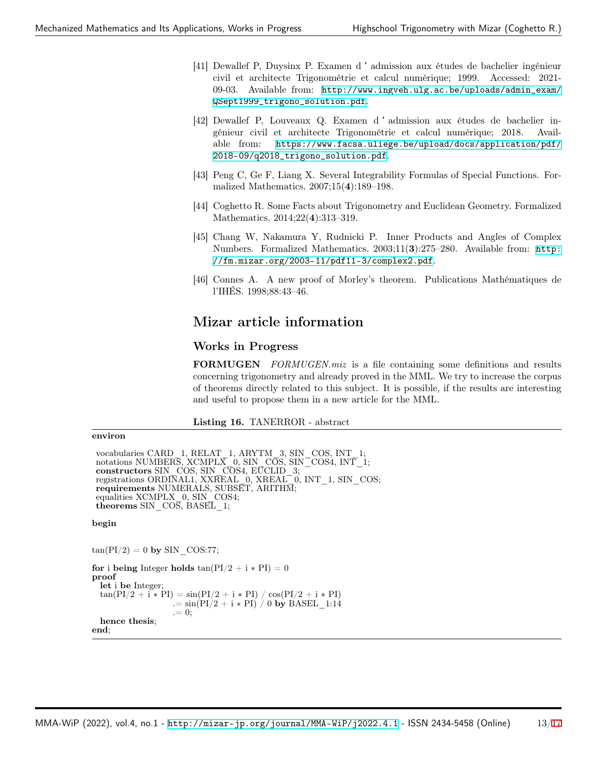- <span id="page-12-0"></span>[41] Dewallef P, Duysinx P. Examen d 'admission aux études de bachelier ingénieur civil et architecte Trigonométrie et calcul numérique; 1999. Accessed: 2021- 09-03. Available from: [http://www.ingveh.ulg.ac.be/uploads/admin\\_exam/](http://www.ingveh.ulg.ac.be/uploads/admin_exam/QSept1999_trigono_solution.pdf) [QSept1999\\_trigono\\_solution.pdf](http://www.ingveh.ulg.ac.be/uploads/admin_exam/QSept1999_trigono_solution.pdf).
- <span id="page-12-1"></span>[42] Dewallef P, Louveaux Q. Examen d 'admission aux études de bachelier ingénieur civil et architecte Trigonométrie et calcul numérique; 2018. Available from: [https://www.facsa.uliege.be/upload/docs/application/pdf/](https://www.facsa.uliege.be/upload/docs/application/pdf/2018-09/q2018_trigono_solution.pdf) [2018-09/q2018\\_trigono\\_solution.pdf](https://www.facsa.uliege.be/upload/docs/application/pdf/2018-09/q2018_trigono_solution.pdf).
- <span id="page-12-3"></span>[43] Peng C, Ge F, Liang X. Several Integrability Formulas of Special Functions. Formalized Mathematics. 2007;15(4):189–198.
- <span id="page-12-4"></span>[44] Coghetto R. Some Facts about Trigonometry and Euclidean Geometry. Formalized Mathematics. 2014;22(4):313–319.
- <span id="page-12-5"></span>[45] Chang W, Nakamura Y, Rudnicki P. Inner Products and Angles of Complex Numbers. Formalized Mathematics. 2003;11(3):275–280. Available from: [http:](http://fm.mizar.org/2003-11/pdf11-3/complex2.pdf) [//fm.mizar.org/2003-11/pdf11-3/complex2.pdf](http://fm.mizar.org/2003-11/pdf11-3/complex2.pdf).
- <span id="page-12-6"></span>[46] Connes A. A new proof of Morley's theorem. Publications Mathématiques de l'IHÉS. 1998;88:43–46.

## Mizar article information

### Works in Progress

FORMUGEN *FORMUGEN.miz* is a file containing some definitions and results concerning trigonometry and already proved in the MML. We try to increase the corpus of theorems directly related to this subject. It is possible, if the results are interesting and useful to propose them in a new article for the MML.

<span id="page-12-2"></span>Listing 16. TANERROR - abstract

#### environ

```
vocabularies CARD_1, RELAT_1, ARYTM_3, SIN_COS, INT_1;
 notations NUMBERS, XCMPLX 0, SIN C\overline{OS}, SIN<sup>-</sup>COS4, INT<sup>-1</sup>;
constructors SIN_COS, SIN_COS4, EUCLID_3;
registrations ORDINAL1, XXREAL_0, XREAL_0, INT_1, SIN_COS;
requirements NUMERALS, SUBSET, ARITHM;
equalities XCMPLX 0, SIN COS4;
theorems SIN COS, BASEL 1;
begin
```
 $tan(PI/2) = 0$  by SIN COS:77;

```
for i being Integer holds tan(PI/2 + i * PI) = 0proof
  let i be Integer;
  \tan(PI/2 + i * PI) = \sin(PI/2 + i * PI) / \cos(PI/2 + i * PI). = \sin(PI/2 + i * PI) / 0 by BASEL 1:14
                    . = 0:
  hence thesis;
end;
```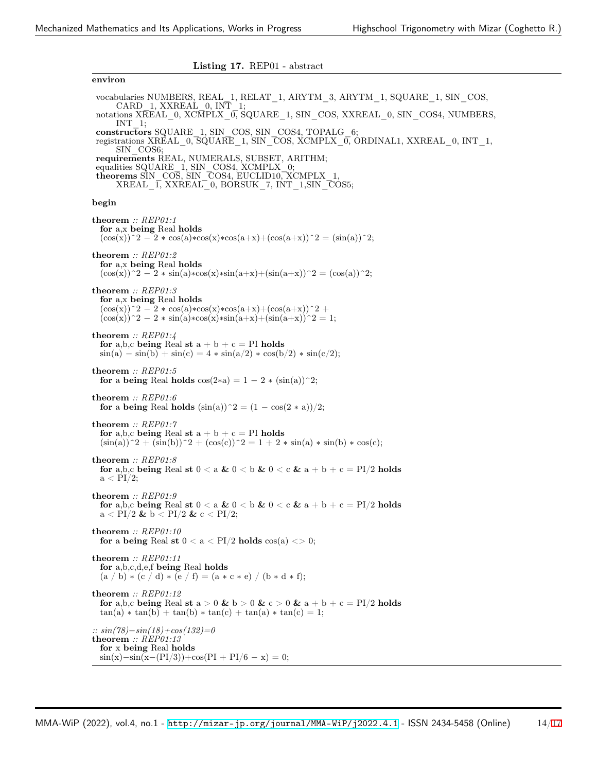<span id="page-13-0"></span>Listing 17. REP01 - abstract

environ vocabularies NUMBERS, REAL\_1, RELAT\_1, ARYTM\_3, ARYTM\_1, SQUARE\_1, SIN\_COS, CARD\_1, XXREAL\_0, INT\_1; notations XREAL \_0, XCMPLX\_0, SQUARE\_1, SIN\_COS, XXREAL \_0, SIN \_COS4, NUMBERS, INT\_1; constructors SQUARE 1, SIN\_COS, SIN\_COS4, TOPALG\_6; registrations XREAL\_0,  $\overline{SQ}$ UARE\_1, SIN\_COS, XCMPLX\_0, ORDINAL1, XXREAL\_0, INT\_1, SIN\_COS6; requirements REAL, NUMERALS, SUBSET, ARITHM; equalities SQUARE 1, SIN\_COS4, XCMPLX 0; theorems SIN\_COS, SIN\_COS4, EUCLID10, XCMPLX\_1, XREAL\_1, XXREAL\_0, BORSUK\_7, INT\_1,SIN\_COS5; begin theorem *:: REP01:1* for a,x being Real holds  $(\cos(x))^2 - 2 * \cos(a)*\cos(x)*\cos(a+x) + (\cos(a+x))^2 = (\sin(a))^2;$ theorem *:: REP01:2* for a,x being Real holds  $(\cos(x))^2 - 2 * \sin(a)*\cos(x)*\sin(a+x) + (\sin(a+x))^2 = (\cos(a))^2;$ theorem *:: REP01:3* for a,x being Real holds  $(\cos(x))^2 - 2 * \cos(a)*\cos(x)*\cos(a+x)+(\cos(a+x))^2 +$  $(\cos(x))^2 - 2 * \sin(a)*\cos(x)*\sin(a+x) + (\sin(a+x))^2 = 1;$ theorem *:: REP01:4* for a,b,c being Real st  $a + b + c = PI$  holds  $sin(a) - sin(b) + sin(c) = 4 * sin(a/2) * cos(b/2) * sin(c/2);$ theorem *:: REP01:5* for a being Real holds  $cos(2*a) = 1 - 2 * (sin(a))^2;$ theorem *:: REP01:6* for a being Real holds  $(\sin(a))^2 = (1 - \cos(2 * a))/2;$ theorem *:: REP01:7* for a,b,c being Real st  $a + b + c = PI$  holds  $(\sin(a))^2 + (\sin(b))^2 + (\cos(c))^2 = 1 + 2 * \sin(a) * \sin(b) * \cos(c);$ theorem *:: REP01:8* for a,b,c being Real st  $0 < a \& 0 < b \& 0 < c \& a + b + c = PI/2$  holds  $a < PI/2$ ; theorem *:: REP01:9* for a,b,c being Real st  $0 < a \& 0 < b \& 0 < c \& a + b + c = PI/2$  holds  $a < PI/2$  &  $b < PI/2$  &  $c < PI/2$ ; theorem *:: REP01:10* for a being Real st  $0 < a < PI/2$  holds  $cos(a) < 0;$ theorem *:: REP01:11* for a,b,c,d,e,f being Real holds  $(a / b) * (c / d) * (e / f) = (a * c * e) / (b * d * f);$ theorem *:: REP01:12* for a,b,c being Real st a > 0 & b > 0 & c > 0 & a + b + c = PI/2 holds  $tan(a) * tan(b) + tan(b) * tan(c) + tan(a) * tan(c) = 1;$ *:: sin(78)−sin(18)+cos(132)=0* theorem *:: REP01:13* for x being Real holds sin(x)*−*sin(x*−*(PI/3))+cos(PI + PI/6 *−* x) = 0;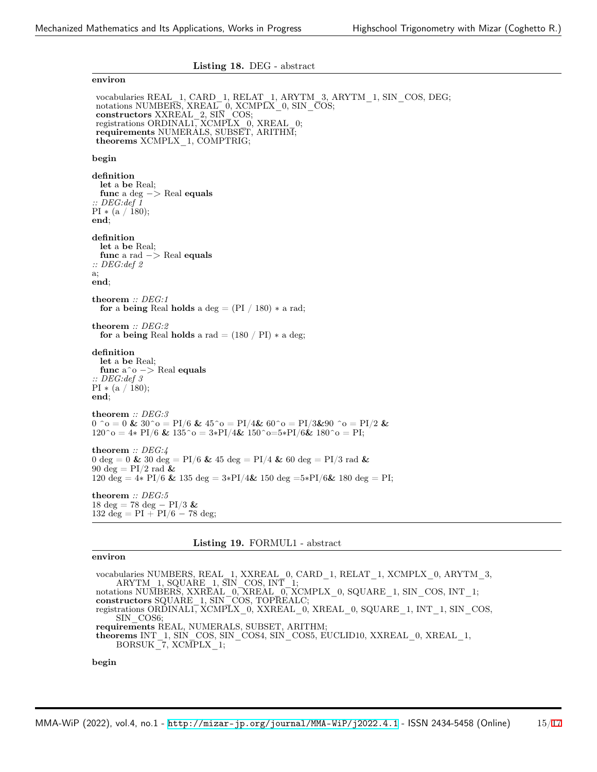<span id="page-14-0"></span>

| Listing 18. DEG - abstract                                                                                                                                                                                                                                                             |
|----------------------------------------------------------------------------------------------------------------------------------------------------------------------------------------------------------------------------------------------------------------------------------------|
| environ                                                                                                                                                                                                                                                                                |
| vocabularies REAL 1, CARD 1, RELAT 1, ARYTM 3, ARYTM 1, SIN COS, DEG;<br>notations NUMBERS, XREAL 0, XCMPLX 0, SIN COS;<br>constructors XXREAL 2, SIN COS;<br>registrations ORDINAL1, XCMPLX 0, XREAL 0;<br>requirements NUMERALS, SUBSET, ARITHM;<br>theorems $XCMPLX$ 1, $COMPTRIG;$ |
| begin                                                                                                                                                                                                                                                                                  |
| definition<br>let a be Real;<br>func a deg $\rightarrow$ Real equals<br>$\therefore$ DEG:def 1<br>$PI * (a / 180);$<br>end;                                                                                                                                                            |
| definition<br>let a be Real;<br>func a rad $\rightarrow$ Real equals<br>$\therefore$ DEG:def 2<br>a;<br>end:                                                                                                                                                                           |
| theorem :: $DEG:1$<br>for a being Real holds a deg = $(PI / 180) * a rad$ ;                                                                                                                                                                                                            |
| theorem $\therefore$ DEG:2<br>for a being Real holds a rad $= (180 / \text{PI}) * a$ deg;                                                                                                                                                                                              |
| definition<br>let a be Real;<br>func $a^o \rightarrow \text{Real equals}$<br>$\therefore$ DEG:def 3<br>$PI * (a / 180);$<br>end:                                                                                                                                                       |
| theorem $\therefore$ DEG:3<br>$0$ ^o = 0 & 30^o = PI/6 & 45^o = PI/4& 60^o = PI/3&90 ^o = PI/2 &<br>$120^{\circ}$ o = 4* PI/6 & 135 $^{\circ}$ o = 3*PI/4& 150 $^{\circ}$ o=5*PI/6& 180 $^{\circ}$ o = PI;                                                                             |
| theorem :: $DEG:4$<br>0 deg = 0 & 30 deg = PI/6 & 45 deg = PI/4 & 60 deg = PI/3 rad &<br>90 deg = $PI/2$ rad &<br>120 deg = $4*$ PI/6 & 135 deg = $3*$ PI/4 & 150 deg = $5*$ PI/6 & 180 deg = PI;                                                                                      |
| theorem :: $DEG:5$<br>$18 \text{ deg} = 78 \text{ deg} - P1/3$ &<br>132 deg = $PI + PI/6 - 78$ deg;                                                                                                                                                                                    |

#### <span id="page-14-1"></span>Listing 19. FORMUL1 - abstract

#### environ

vocabularies NUMBERS, REAL\_1, XXREAL\_0, CARD\_1, RELAT\_1, XCMPLX\_0, ARYTM\_3, ARYTM\_1, SQUARE\_1, SIN\_COS, INT\_1; notations NUMBERS, XXREAL\_0, XREAL\_0, XCMPLX\_0, SQUARE\_1, SIN\_COS, INT\_1; constructors SQUARE\_1, SIN\_COS, TOPREALC; registrations ORDINAL1, XCMPLX\_0, XXREAL\_0, XREAL\_0, SQUARE\_1, INT\_1, SIN\_COS, SIN\_COS6; requirements REAL, NUMERALS, SUBSET, ARITHM; theorems INT\_1, SIN\_COS, SIN\_COS4, SIN\_COS5, EUCLID10, XXREAL\_0, XREAL\_1, BORSUK\_7, XCMPLX\_1; begin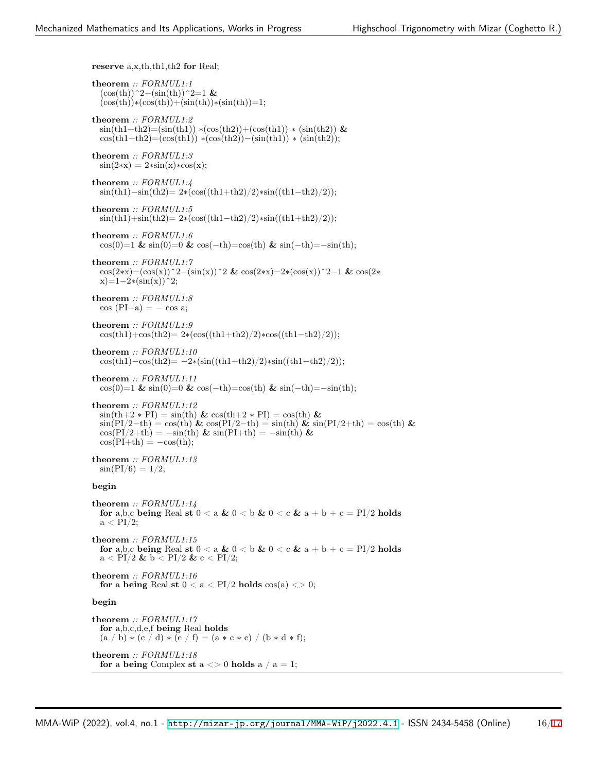reserve a,x,th,th1,th2 for Real;

theorem *:: FORMUL1:1*  $(\cos(th))^2+(\sin(th))^2=1$  &  $(\cos(th))*(\cos(th))+(\sin(th))*(\sin(th))=1;$ theorem *:: FORMUL1:2*  $\sin(th1+th2)=(\sin(th1)) * (\cos(th2)) + (\cos(th1)) * (\sin(th2))$  &  $\cos(th1+th2)=(\cos(th1)) * (\cos(th2)) - (\sin(th1)) * (\sin(th2));$ theorem *:: FORMUL1:3*  $sin(2*x) = 2*sin(x)*cos(x);$ theorem *:: FORMUL1:4* sin(th1)*−*sin(th2)= 2∗(cos((th1+th2)/2)∗sin((th1*−*th2)/2)); theorem *:: FORMUL1:5* sin(th1)+sin(th2)= 2∗(cos((th1*−*th2)/2)∗sin((th1+th2)/2)); theorem *:: FORMUL1:6* cos(0)=1 & sin(0)=0 & cos(*−*th)=cos(th) & sin(*−*th)=*−*sin(th); theorem *:: FORMUL1:7* cos(2∗x)=(cos(x))^2*−*(sin(x))^2 & cos(2∗x)=2∗(cos(x))^2*−*1 & cos(2∗ x)=1*−*2∗(sin(x))^2; theorem *:: FORMUL1:8* cos (PI*−*a) = *−* cos a; theorem *:: FORMUL1:9* cos(th1)+cos(th2)= 2∗(cos((th1+th2)/2)∗cos((th1*−*th2)/2)); theorem *:: FORMUL1:10* cos(th1)*−*cos(th2)= *−*2∗(sin((th1+th2)/2)∗sin((th1*−*th2)/2)); theorem *:: FORMUL1:11* cos(0)=1 & sin(0)=0 & cos(*−*th)=cos(th) & sin(*−*th)=*−*sin(th); theorem *:: FORMUL1:12*  $\sin(th+2*PI) = \sin(th) \& \cos(th+2*PI) = \cos(th) \&$  $\sin(\text{PI}/2-\text{th}) = \cos(\text{th})$  &  $\cos(\text{PI}/2-\text{th}) = \sin(\text{th})$  &  $\sin(\text{PI}/2+\text{th}) = \cos(\text{th})$  &  $\cos(\text{PI}/2+\text{th}) = -\sin(\text{th}) \& \sin(\text{PI}+\text{th}) = -\sin(\text{th}) \&$  $cos(PI+th) = -cos(th);$ theorem *:: FORMUL1:13*  $sin(PI/6) = 1/2;$ begin theorem *:: FORMUL1:14* for a,b,c being Real st  $0 < a \& 0 < b \& 0 < c \& a + b + c = PI/2$  holds  $a < PI/2$ ; theorem *:: FORMUL1:15* for a,b,c being Real st  $0 < a \& 0 < b \& 0 < c \& a + b + c = PI/2$  holds  $a < PI/2$  &  $b < PI/2$  &  $c < PI/2$ ; theorem *:: FORMUL1:16* for a being Real st  $0 < a < PI/2$  holds  $cos(a) < 0;$ begin

theorem *:: FORMUL1:17* for a,b,c,d,e,f being Real holds  $(a / b) * (c / d) * (e / f) = (a * c * e) / (b * d * f);$ theorem *:: FORMUL1:18* for a being Complex st  $a \leq 0$  holds  $a / a = 1$ ;